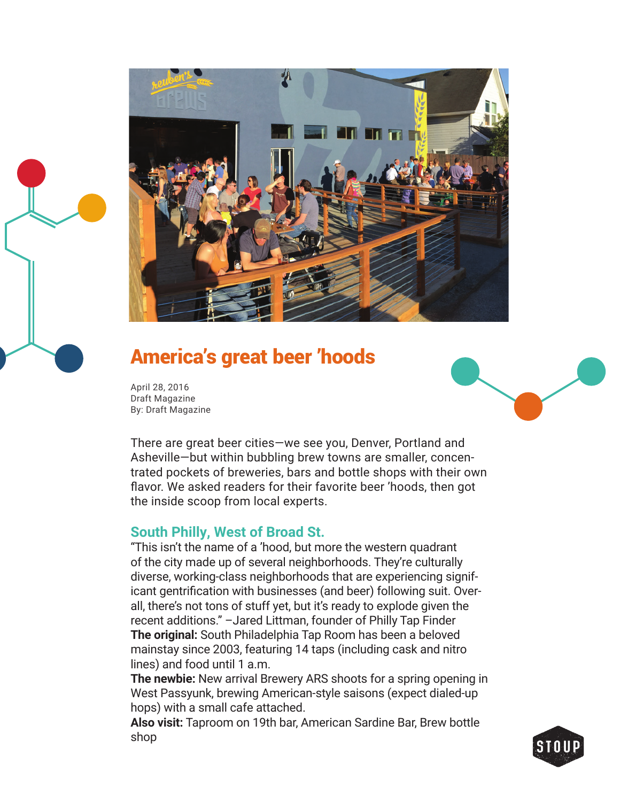

# America's great beer 'hoods

April 28, 2016 Draft Magazine By: Draft Magazine



There are great beer cities—we see you, Denver, Portland and Asheville—but within bubbling brew towns are smaller, concentrated pockets of breweries, bars and bottle shops with their own flavor. We asked readers for their favorite beer 'hoods, then got the inside scoop from local experts.

### **South Philly, West of Broad St.**

"This isn't the name of a 'hood, but more the western quadrant of the city made up of several neighborhoods. They're culturally diverse, working-class neighborhoods that are experiencing significant gentrification with businesses (and beer) following suit. Overall, there's not tons of stuff yet, but it's ready to explode given the recent additions." –Jared Littman, founder of Philly Tap Finder **The original:** South Philadelphia Tap Room has been a beloved mainstay since 2003, featuring 14 taps (including cask and nitro lines) and food until 1 a.m.

**The newbie:** New arrival Brewery ARS shoots for a spring opening in West Passyunk, brewing American-style saisons (expect dialed-up hops) with a small cafe attached.

**Also visit:** Taproom on 19th bar, American Sardine Bar, Brew bottle shop

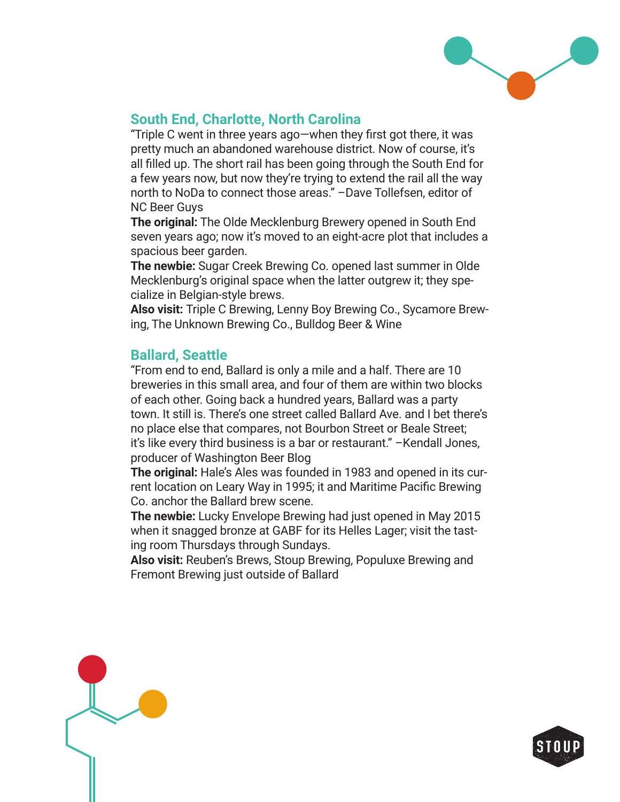

## **South End, Charlotte, North Carolina**

"Triple C went in three years ago—when they first got there, it was pretty much an abandoned warehouse district. Now of course, it's all filled up. The short rail has been going through the South End for a few years now, but now they're trying to extend the rail all the way north to NoDa to connect those areas." –Dave Tollefsen, editor of NC Beer Guys

**The original:** The Olde Mecklenburg Brewery opened in South End seven years ago; now it's moved to an eight-acre plot that includes a spacious beer garden.

**The newbie:** Sugar Creek Brewing Co. opened last summer in Olde Mecklenburg's original space when the latter outgrew it; they specialize in Belgian-style brews.

**Also visit:** Triple C Brewing, Lenny Boy Brewing Co., Sycamore Brewing, The Unknown Brewing Co., Bulldog Beer & Wine

### **Ballard, Seattle**

"From end to end, Ballard is only a mile and a half. There are 10 breweries in this small area, and four of them are within two blocks of each other. Going back a hundred years, Ballard was a party town. It still is. There's one street called Ballard Ave. and I bet there's no place else that compares, not Bourbon Street or Beale Street; it's like every third business is a bar or restaurant." –Kendall Jones, producer of Washington Beer Blog

**The original:** Hale's Ales was founded in 1983 and opened in its current location on Leary Way in 1995; it and Maritime Pacific Brewing Co. anchor the Ballard brew scene.

**The newbie:** Lucky Envelope Brewing had just opened in May 2015 when it snagged bronze at GABF for its Helles Lager; visit the tasting room Thursdays through Sundays.

**Also visit:** Reuben's Brews, Stoup Brewing, Populuxe Brewing and Fremont Brewing just outside of Ballard